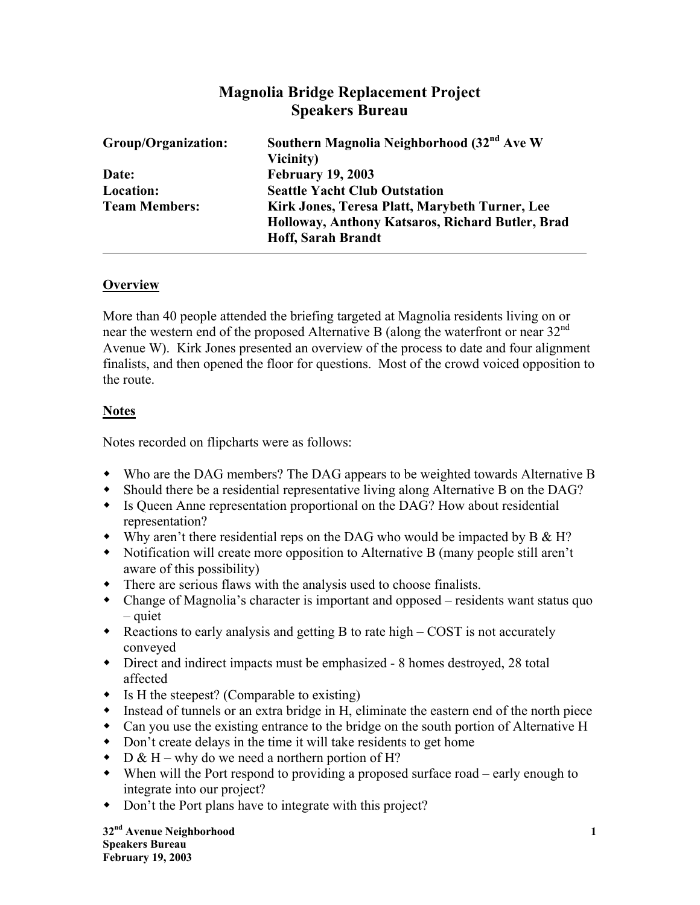# **Magnolia Bridge Replacement Project Speakers Bureau**

| Group/Organization:  | Southern Magnolia Neighborhood (32 <sup>nd</sup> Ave W<br>Vicinity) |
|----------------------|---------------------------------------------------------------------|
| Date:                | <b>February 19, 2003</b>                                            |
| Location:            | <b>Seattle Yacht Club Outstation</b>                                |
| <b>Team Members:</b> | Kirk Jones, Teresa Platt, Marybeth Turner, Lee                      |
|                      | Holloway, Anthony Katsaros, Richard Butler, Brad                    |
|                      | <b>Hoff, Sarah Brandt</b>                                           |

#### **Overview**

More than 40 people attended the briefing targeted at Magnolia residents living on or near the western end of the proposed Alternative B (along the waterfront or near 32<sup>nd</sup> Avenue W). Kirk Jones presented an overview of the process to date and four alignment finalists, and then opened the floor for questions. Most of the crowd voiced opposition to the route.

## **Notes**

Notes recorded on flipcharts were as follows:

- Who are the DAG members? The DAG appears to be weighted towards Alternative B
- Should there be a residential representative living along Alternative B on the DAG?
- Is Queen Anne representation proportional on the DAG? How about residential representation?
- Why aren't there residential reps on the DAG who would be impacted by  $B \& H$ ?
- Notification will create more opposition to Alternative B (many people still aren't aware of this possibility)
- There are serious flaws with the analysis used to choose finalists.
- Change of Magnolia's character is important and opposed residents want status quo – quiet
- $\bullet$  Reactions to early analysis and getting B to rate high COST is not accurately conveyed
- Direct and indirect impacts must be emphasized 8 homes destroyed, 28 total affected
- $\bullet$  Is H the steepest? (Comparable to existing)
- Instead of tunnels or an extra bridge in H, eliminate the eastern end of the north piece
- Can you use the existing entrance to the bridge on the south portion of Alternative H
- Don't create delays in the time it will take residents to get home
- $\bullet$  D & H why do we need a northern portion of H?
- When will the Port respond to providing a proposed surface road early enough to integrate into our project?
- Don't the Port plans have to integrate with this project?

**32nd Avenue Neighborhood 1 Speakers Bureau February 19, 2003**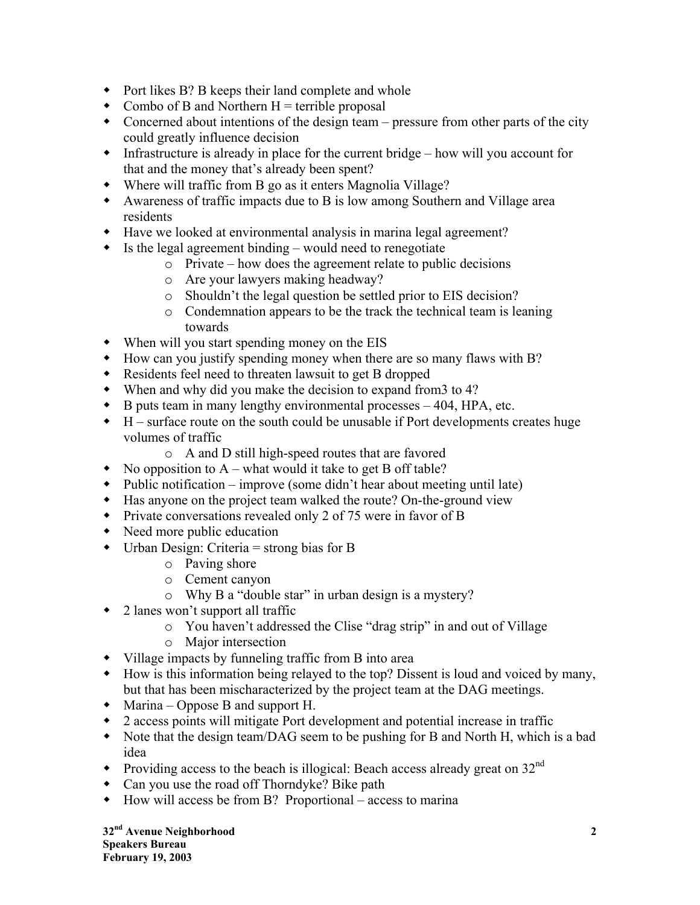- Port likes B? B keeps their land complete and whole
- Combo of B and Northern  $H =$  terrible proposal
- Concerned about intentions of the design team pressure from other parts of the city could greatly influence decision
- $\bullet$  Infrastructure is already in place for the current bridge how will you account for that and the money that's already been spent?
- Where will traffic from B go as it enters Magnolia Village?
- Awareness of traffic impacts due to B is low among Southern and Village area residents
- Have we looked at environmental analysis in marina legal agreement?
- $\bullet$  Is the legal agreement binding would need to renegotiate
	- o Private how does the agreement relate to public decisions
	- o Are your lawyers making headway?
	- o Shouldn't the legal question be settled prior to EIS decision?
	- o Condemnation appears to be the track the technical team is leaning towards
- When will you start spending money on the EIS
- How can you justify spending money when there are so many flaws with B?
- Residents feel need to threaten lawsuit to get B dropped
- When and why did you make the decision to expand from3 to 4?
- $\bullet$  B puts team in many lengthy environmental processes  $-404$ , HPA, etc.
- $\bullet$  H surface route on the south could be unusable if Port developments creates huge volumes of traffic
	- o A and D still high-speed routes that are favored
- No opposition to  $A$  what would it take to get B off table?
- Public notification improve (some didn't hear about meeting until late)
- Has anyone on the project team walked the route? On-the-ground view
- Private conversations revealed only 2 of 75 were in favor of B
- Need more public education
- $\bullet$  Urban Design: Criteria = strong bias for B
	- o Paving shore
	- o Cement canyon
	- o Why B a "double star" in urban design is a mystery?
- 2 lanes won't support all traffic
	- o You haven't addressed the Clise "drag strip" in and out of Village
	- o Major intersection
- Village impacts by funneling traffic from B into area
- How is this information being relayed to the top? Dissent is loud and voiced by many, but that has been mischaracterized by the project team at the DAG meetings.
- Marina Oppose B and support H.
- 2 access points will mitigate Port development and potential increase in traffic
- Note that the design team/DAG seem to be pushing for B and North H, which is a bad idea
- Providing access to the beach is illogical: Beach access already great on  $32<sup>nd</sup>$
- Can you use the road off Thorndyke? Bike path
- $\bullet$  How will access be from B? Proportional access to marina

**32nd Avenue Neighborhood 2 Speakers Bureau February 19, 2003**